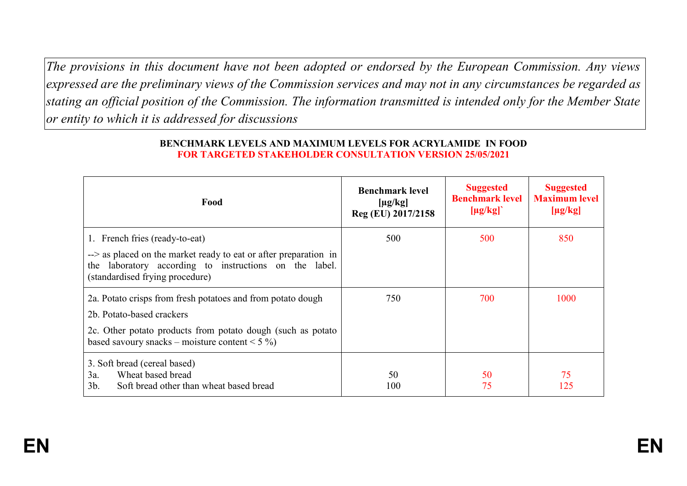*The provisions in this document have not been adopted or endorsed by the European Commission. Any views expressed are the preliminary views of the Commission services and may not in any circumstances be regarded as stating an official position of the Commission. The information transmitted is intended only for the Member State or entity to which it is addressed for discussions*

| Food                                                                                                                                                          | <b>Benchmark level</b><br>$[\mu g/kg]$<br>Reg (EU) 2017/2158 | <b>Suggested</b><br><b>Benchmark level</b><br>$[\mu g/kg]$ | <b>Suggested</b><br><b>Maximum level</b><br>$[\mu g/kg]$ |
|---------------------------------------------------------------------------------------------------------------------------------------------------------------|--------------------------------------------------------------|------------------------------------------------------------|----------------------------------------------------------|
| 1. French fries (ready-to-eat)                                                                                                                                | 500                                                          | 500                                                        | 850                                                      |
| --> as placed on the market ready to eat or after preparation in<br>the laboratory according to instructions on the label.<br>(standardised frying procedure) |                                                              |                                                            |                                                          |
| 2a. Potato crisps from fresh potatoes and from potato dough                                                                                                   | 750                                                          | 700                                                        | 1000                                                     |
| 2b. Potato-based crackers                                                                                                                                     |                                                              |                                                            |                                                          |
| 2c. Other potato products from potato dough (such as potato<br>based savoury snacks – moisture content < $5\%$ )                                              |                                                              |                                                            |                                                          |
| 3. Soft bread (cereal based)                                                                                                                                  |                                                              |                                                            |                                                          |
| Wheat based bread<br>3a.                                                                                                                                      | 50                                                           | 50                                                         | 75                                                       |
| $3b$ .<br>Soft bread other than wheat based bread                                                                                                             | 100                                                          | 75                                                         | 125                                                      |

## **BENCHMARK LEVELS AND MAXIMUM LEVELS FOR ACRYLAMIDE IN FOOD FOR TARGETED STAKEHOLDER CONSULTATION VERSION 25/05/2021**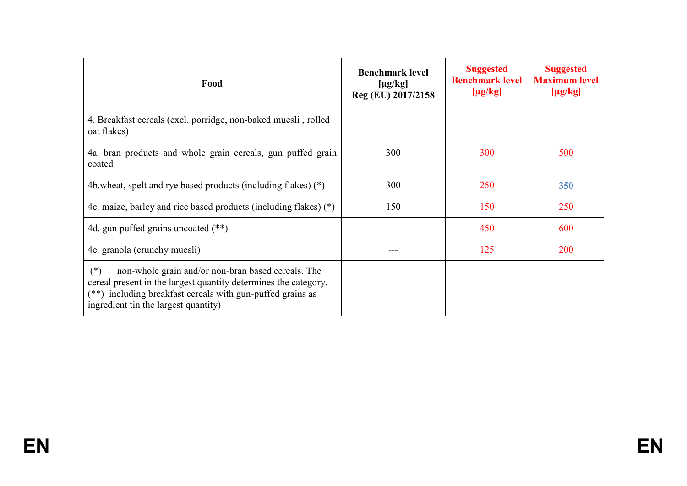| Food                                                                                                                                                                                                                                 | <b>Benchmark level</b><br>$[\mu g/kg]$<br>Reg (EU) 2017/2158 | <b>Suggested</b><br><b>Benchmark level</b><br>$[\mu g/kg]$ | <b>Suggested</b><br><b>Maximum level</b><br>$[\mu g/kg]$ |
|--------------------------------------------------------------------------------------------------------------------------------------------------------------------------------------------------------------------------------------|--------------------------------------------------------------|------------------------------------------------------------|----------------------------------------------------------|
| 4. Breakfast cereals (excl. porridge, non-baked muesli, rolled<br>oat flakes)                                                                                                                                                        |                                                              |                                                            |                                                          |
| 4a. bran products and whole grain cereals, gun puffed grain<br>coated                                                                                                                                                                | 300                                                          | 300                                                        | 500                                                      |
| 4b.wheat, spelt and rye based products (including flakes) (*)                                                                                                                                                                        | 300                                                          | 250                                                        | 350                                                      |
| 4c. maize, barley and rice based products (including flakes) $(*)$                                                                                                                                                                   | 150                                                          | 150                                                        | 250                                                      |
| 4d. gun puffed grains uncoated $(**)$                                                                                                                                                                                                | ---                                                          | 450                                                        | 600                                                      |
| 4e. granola (crunchy muesli)                                                                                                                                                                                                         |                                                              | 125                                                        | 200                                                      |
| $(*)$<br>non-whole grain and/or non-bran based cereals. The<br>cereal present in the largest quantity determines the category.<br>(**) including breakfast cereals with gun-puffed grains as<br>ingredient tin the largest quantity) |                                                              |                                                            |                                                          |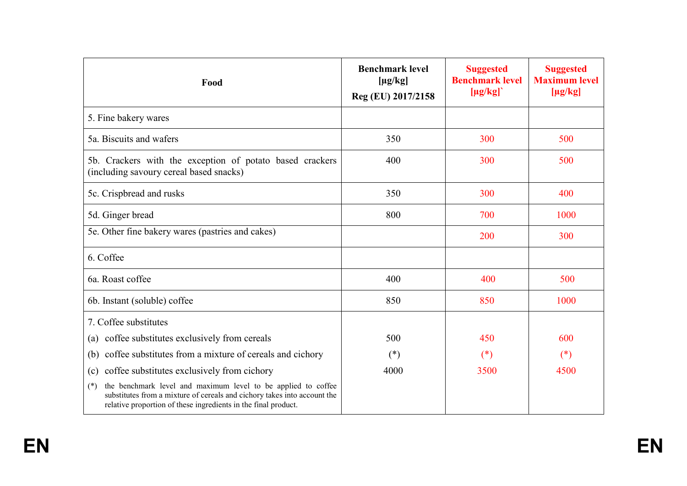| Food                                                                                                                                                                                                                 | <b>Benchmark level</b><br>$[\mu g/kg]$<br>Reg (EU) 2017/2158 | <b>Suggested</b><br><b>Benchmark level</b><br>$[\mu g/kg]$ | <b>Suggested</b><br><b>Maximum level</b><br>$[\mu g/kg]$ |
|----------------------------------------------------------------------------------------------------------------------------------------------------------------------------------------------------------------------|--------------------------------------------------------------|------------------------------------------------------------|----------------------------------------------------------|
| 5. Fine bakery wares                                                                                                                                                                                                 |                                                              |                                                            |                                                          |
| 5a. Biscuits and wafers                                                                                                                                                                                              | 350                                                          | 300                                                        | 500                                                      |
| 5b. Crackers with the exception of potato based crackers<br>(including savoury cereal based snacks)                                                                                                                  | 400                                                          | 300                                                        | 500                                                      |
| 5c. Crispbread and rusks                                                                                                                                                                                             | 350                                                          | 300                                                        | 400                                                      |
| 5d. Ginger bread                                                                                                                                                                                                     | 800                                                          | 700                                                        | 1000                                                     |
| 5e. Other fine bakery wares (pastries and cakes)                                                                                                                                                                     |                                                              | 200                                                        | 300                                                      |
| 6. Coffee                                                                                                                                                                                                            |                                                              |                                                            |                                                          |
| 6a. Roast coffee                                                                                                                                                                                                     | 400                                                          | 400                                                        | 500                                                      |
| 6b. Instant (soluble) coffee                                                                                                                                                                                         | 850                                                          | 850                                                        | 1000                                                     |
| 7. Coffee substitutes                                                                                                                                                                                                |                                                              |                                                            |                                                          |
| coffee substitutes exclusively from cereals<br>(a)                                                                                                                                                                   | 500                                                          | 450                                                        | 600                                                      |
| coffee substitutes from a mixture of cereals and cichory<br>(b)                                                                                                                                                      | $(*)$                                                        | $(*)$                                                      | $(*)$                                                    |
| coffee substitutes exclusively from cichory<br>(c)                                                                                                                                                                   | 4000                                                         | 3500                                                       | 4500                                                     |
| the benchmark level and maximum level to be applied to coffee<br>$(*)$<br>substitutes from a mixture of cereals and cichory takes into account the<br>relative proportion of these ingredients in the final product. |                                                              |                                                            |                                                          |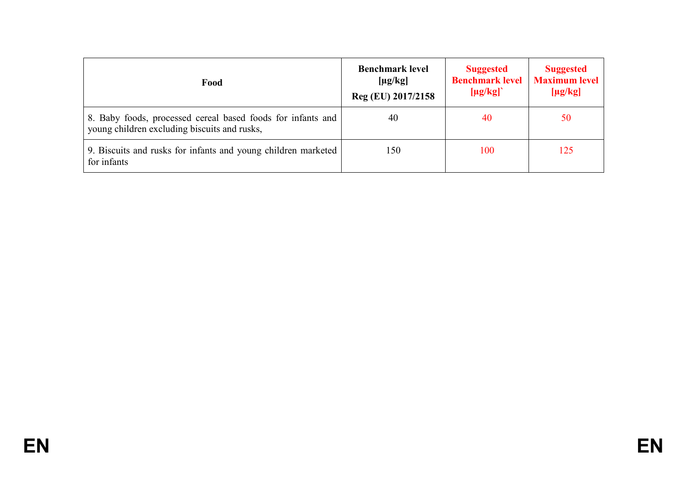| Food                                                                                                        | <b>Benchmark level</b><br>$[\mu g/kg]$<br>Reg (EU) 2017/2158 | <b>Suggested</b><br><b>Benchmark level</b><br>$[\mu g/kg]$ | <b>Suggested</b><br><b>Maximum level</b><br>$[\mu g/kg]$ |
|-------------------------------------------------------------------------------------------------------------|--------------------------------------------------------------|------------------------------------------------------------|----------------------------------------------------------|
| 8. Baby foods, processed cereal based foods for infants and<br>young children excluding biscuits and rusks, | 40                                                           | 40                                                         | 50                                                       |
| 9. Biscuits and rusks for infants and young children marketed<br>for infants                                | 150                                                          | 100                                                        | 125                                                      |